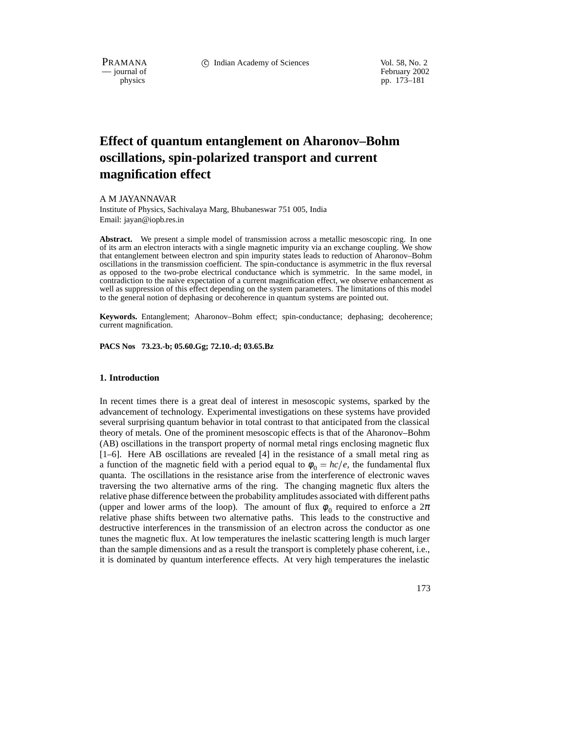PRAMANA c Indian Academy of Sciences Vol. 58, No. 2

position of the method of the set of the set of the set of the set of the set of the set of the set of the set of the set of the set of the set of the set of the set of the set of the set of the set of the set of the set o pp. 173–181

# **Effect of quantum entanglement on Aharonov–Bohm oscillations, spin-polarized transport and current magnification effect**

A M JAYANNAVAR

Institute of Physics, Sachivalaya Marg, Bhubaneswar 751 005, India Email: jayan@iopb.res.in

Abstract. We present a simple model of transmission across a metallic mesoscopic ring. In one of its arm an electron interacts with a single magnetic impurity via an exchange coupling. We show that entanglement between electron and spin impurity states leads to reduction of Aharonov–Bohm oscillations in the transmission coefficient. The spin-conductance is asymmetric in the flux reversal as opposed to the two-probe electrical conductance which is symmetric. In the same model, in contradiction to the naive expectation of a current magnification effect, we observe enhancement as well as suppression of this effect depending on the system parameters. The limitations of this model to the general notion of dephasing or decoherence in quantum systems are pointed out.

**Keywords.** Entanglement; Aharonov–Bohm effect; spin-conductance; dephasing; decoherence; current magnification.

**PACS Nos 73.23.-b; 05.60.Gg; 72.10.-d; 03.65.Bz**

## **1. Introduction**

In recent times there is a great deal of interest in mesoscopic systems, sparked by the advancement of technology. Experimental investigations on these systems have provided several surprising quantum behavior in total contrast to that anticipated from the classical theory of metals. One of the prominent mesoscopic effects is that of the Aharonov–Bohm (AB) oscillations in the transport property of normal metal rings enclosing magnetic flux [1–6]. Here AB oscillations are revealed [4] in the resistance of a small metal ring as a function of the magnetic field with a period equal to  $\phi_0 = hc/e$ , the fundamental flux quanta. The oscillations in the resistance arise from the interference of electronic waves traversing the two alternative arms of the ring. The changing magnetic flux alters the relative phase difference between the probability amplitudes associated with different paths (upper and lower arms of the loop). The amount of flux  $\phi_0$  required to enforce a  $2\pi$ relative phase shifts between two alternative paths. This leads to the constructive and destructive interferences in the transmission of an electron across the conductor as one tunes the magnetic flux. At low temperatures the inelastic scattering length is much larger than the sample dimensions and as a result the transport is completely phase coherent, i.e., it is dominated by quantum interference effects. At very high temperatures the inelastic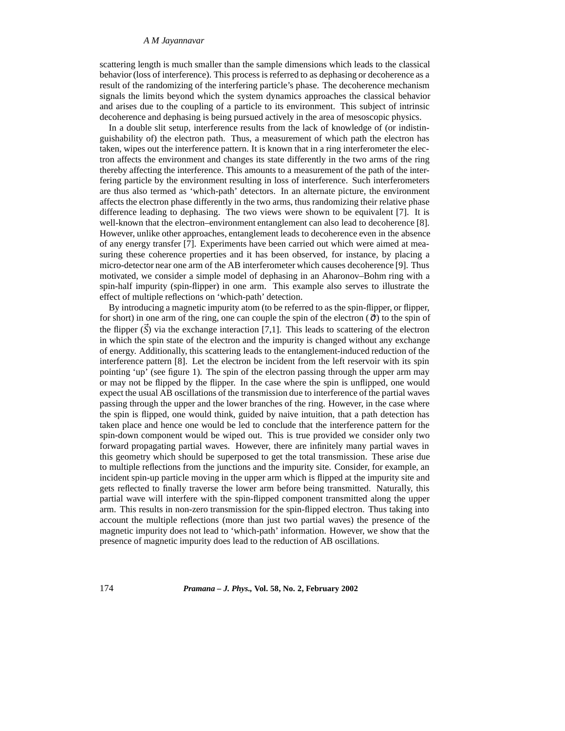## *A M Jayannavar*

scattering length is much smaller than the sample dimensions which leads to the classical behavior (loss of interference). This process is referred to as dephasing or decoherence as a result of the randomizing of the interfering particle's phase. The decoherence mechanism signals the limits beyond which the system dynamics approaches the classical behavior and arises due to the coupling of a particle to its environment. This subject of intrinsic decoherence and dephasing is being pursued actively in the area of mesoscopic physics.

In a double slit setup, interference results from the lack of knowledge of (or indistinguishability of) the electron path. Thus, a measurement of which path the electron has taken, wipes out the interference pattern. It is known that in a ring interferometer the electron affects the environment and changes its state differently in the two arms of the ring thereby affecting the interference. This amounts to a measurement of the path of the interfering particle by the environment resulting in loss of interference. Such interferometers are thus also termed as 'which-path' detectors. In an alternate picture, the environment affects the electron phase differently in the two arms, thus randomizing their relative phase difference leading to dephasing. The two views were shown to be equivalent [7]. It is well-known that the electron–environment entanglement can also lead to decoherence [8]. However, unlike other approaches, entanglement leads to decoherence even in the absence of any energy transfer [7]. Experiments have been carried out which were aimed at measuring these coherence properties and it has been observed, for instance, by placing a micro-detector near one arm of the AB interferometer which causes decoherence [9]. Thus motivated, we consider a simple model of dephasing in an Aharonov–Bohm ring with a spin-half impurity (spin-flipper) in one arm. This example also serves to illustrate the effect of multiple reflections on 'which-path' detection.

By introducing a magnetic impurity atom (to be referred to as the spin-flipper, or flipper, for short) in one arm of the ring, one can couple the spin of the electron  $(\vec{\sigma})$  to the spin of the flipper  $(\vec{S})$  via the exchange interaction [7,1]. This leads to scattering of the electron in which the spin state of the electron and the impurity is changed without any exchange of energy. Additionally, this scattering leads to the entanglement-induced reduction of the interference pattern [8]. Let the electron be incident from the left reservoir with its spin pointing 'up' (see figure 1). The spin of the electron passing through the upper arm may or may not be flipped by the flipper. In the case where the spin is unflipped, one would expect the usual AB oscillations of the transmission due to interference of the partial waves passing through the upper and the lower branches of the ring. However, in the case where the spin is flipped, one would think, guided by naive intuition, that a path detection has taken place and hence one would be led to conclude that the interference pattern for the spin-down component would be wiped out. This is true provided we consider only two forward propagating partial waves. However, there are infinitely many partial waves in this geometry which should be superposed to get the total transmission. These arise due to multiple reflections from the junctions and the impurity site. Consider, for example, an incident spin-up particle moving in the upper arm which is flipped at the impurity site and gets reflected to finally traverse the lower arm before being transmitted. Naturally, this partial wave will interfere with the spin-flipped component transmitted along the upper arm. This results in non-zero transmission for the spin-flipped electron. Thus taking into account the multiple reflections (more than just two partial waves) the presence of the magnetic impurity does not lead to 'which-path' information. However, we show that the presence of magnetic impurity does lead to the reduction of AB oscillations.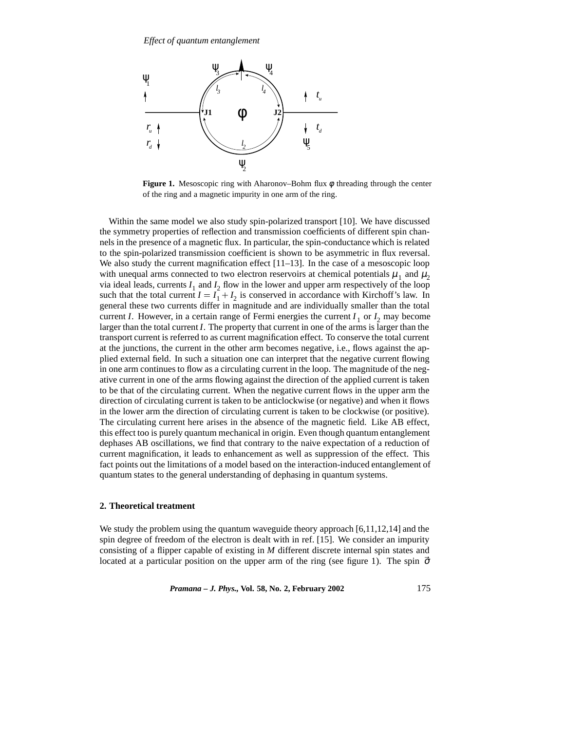*Effect of quantum entanglement*



**Figure 1.** Mesoscopic ring with Aharonov–Bohm flux  $\phi$  threading through the center of the ring and a magnetic impurity in one arm of the ring.

Within the same model we also study spin-polarized transport [10]. We have discussed the symmetry properties of reflection and transmission coefficients of different spin channels in the presence of a magnetic flux. In particular, the spin-conductance which is related to the spin-polarized transmission coefficient is shown to be asymmetric in flux reversal. We also study the current magnification effect [11–13]. In the case of a mesoscopic loop with unequal arms connected to two electron reservoirs at chemical potentials  $\mu_1$  and  $\mu_2$ via ideal leads, currents  $I_1$  and  $I_2$  flow in the lower and upper arm respectively of the loop such that the total current  $I = I_1 + I_2$  is conserved in accordance with Kirchoff's law. In general these two currents differ in magnitude and are individually smaller than the total current *I*. However, in a certain range of Fermi energies the current  $I_1$  or  $I_2$  may become larger than the total current *I*. The property that current in one of the arms is larger than the transport current is referred to as current magnification effect. To conserve the total current at the junctions, the current in the other arm becomes negative, i.e., flows against the applied external field. In such a situation one can interpret that the negative current flowing in one arm continues to flow as a circulating current in the loop. The magnitude of the negative current in one of the arms flowing against the direction of the applied current is taken to be that of the circulating current. When the negative current flows in the upper arm the direction of circulating current is taken to be anticlockwise (or negative) and when it flows in the lower arm the direction of circulating current is taken to be clockwise (or positive). The circulating current here arises in the absence of the magnetic field. Like AB effect, this effect too is purely quantum mechanical in origin. Even though quantum entanglement dephases AB oscillations, we find that contrary to the naive expectation of a reduction of current magnification, it leads to enhancement as well as suppression of the effect. This fact points out the limitations of a model based on the interaction-induced entanglement of quantum states to the general understanding of dephasing in quantum systems.

### **2. Theoretical treatment**

We study the problem using the quantum waveguide theory approach [6,11,12,14] and the spin degree of freedom of the electron is dealt with in ref. [15]. We consider an impurity consisting of a flipper capable of existing in *M* different discrete internal spin states and located at a particular position on the upper arm of the ring (see figure 1). The spin  $\vec{\sigma}$ 

*Pramana – J. Phys.,* **Vol. 58, No. 2, February 2002** 175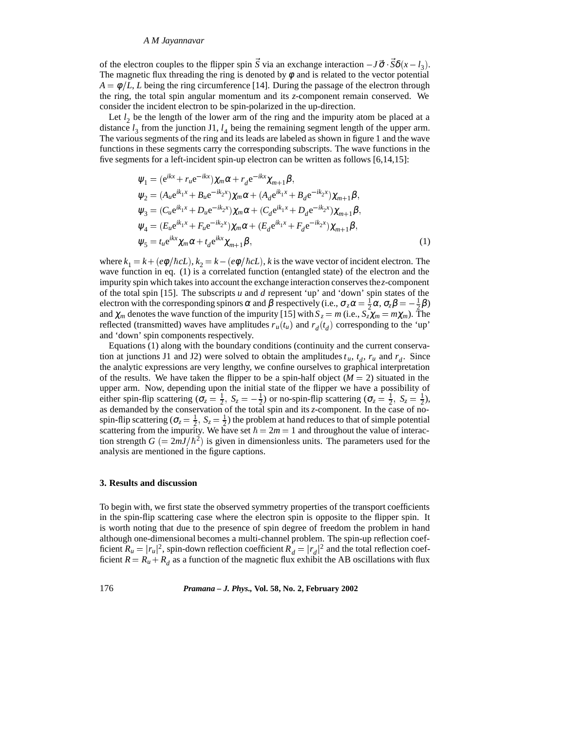# *A M Jayannavar*

of the electron couples to the flipper spin *S* via an exchange interaction  $-J\vec{\sigma} \cdot S\delta(x-l_3)$ . The magnetic flux threading the ring is denoted by  $\phi$  and is related to the vector potential  $A = \phi/L$ , *L* being the ring circumference [14]. During the passage of the electron through the ring, the total spin angular momentum and its *z*-component remain conserved. We consider the incident electron to be spin-polarized in the up-direction.

Let  $l_2$  be the length of the lower arm of the ring and the impurity atom be placed at a distance  $l_3$  from the junction J1,  $l_4$  being the remaining segment length of the upper arm. The various segments of the ring and its leads are labeled as shown in figure 1 and the wave functions in these segments carry the corresponding subscripts. The wave functions in the five segments for a left-incident spin-up electron can be written as follows [6,14,15]:

$$
\Psi_{1} = (e^{ikx} + r_{u}e^{-ikx})\chi_{m}\alpha + r_{d}e^{-ikx}\chi_{m+1}\beta,
$$
  
\n
$$
\Psi_{2} = (A_{u}e^{ik_{1}x} + B_{u}e^{-ik_{2}x})\chi_{m}\alpha + (A_{d}e^{ik_{1}x} + B_{d}e^{-ik_{2}x})\chi_{m+1}\beta,
$$
  
\n
$$
\Psi_{3} = (C_{u}e^{ik_{1}x} + D_{u}e^{-ik_{2}x})\chi_{m}\alpha + (C_{d}e^{ik_{1}x} + D_{d}e^{-ik_{2}x})\chi_{m+1}\beta,
$$
  
\n
$$
\Psi_{4} = (E_{u}e^{ik_{1}x} + F_{u}e^{-ik_{2}x})\chi_{m}\alpha + (E_{d}e^{ik_{1}x} + F_{d}e^{-ik_{2}x})\chi_{m+1}\beta,
$$
  
\n
$$
\Psi_{5} = t_{u}e^{ikx}\chi_{m}\alpha + t_{d}e^{ikx}\chi_{m+1}\beta,
$$
\n(1)

where  $k_1 = k + (e\phi/\hbar cL)$ ,  $k_2 = k - (e\phi/\hbar cL)$ , *k* is the wave vector of incident electron. The wave function in eq. (1) is a correlated function (entangled state) of the electron and the impurity spin which takes into account the exchange interaction conserves the*z*-component of the total spin [15]. The subscripts *u* and *d* represent 'up' and 'down' spin states of the electron with the corresponding spinors  $\alpha$  and  $\beta$  respectively (i.e.,  $\sigma_z \alpha = \frac{1}{2}\alpha$ ,  $\sigma_z \beta = -\frac{1}{2}\beta$ ) and  $\chi_m$  denotes the wave function of the impurity [15] with  $S_z = m$  (i.e.,  $S_z \chi_m = m \chi_m$ ). The reflected (transmitted) waves have amplitudes  $r_u(t_u)$  and  $r_d(t_d)$  corresponding to the 'up' and 'down' spin components respectively.

Equations (1) along with the boundary conditions (continuity and the current conservation at junctions J1 and J2) were solved to obtain the amplitudes  $t_u$ ,  $t_d$ ,  $r_u$  and  $r_d$ . Since the analytic expressions are very lengthy, we confine ourselves to graphical interpretation of the results. We have taken the flipper to be a spin-half object  $(M = 2)$  situated in the upper arm. Now, depending upon the initial state of the flipper we have a possibility of either spin-flip scattering  $(\sigma_z = \frac{1}{2}, S_z = -\frac{1}{2})$  or no-spin-flip scattering  $(\sigma_z = \frac{1}{2}, S_z = \frac{1}{2})$ , as demanded by the conservation of the total spin and its *z*-component. In the case of nospin-flip scattering ( $\sigma_z = \frac{1}{2}$ ,  $S_z = \frac{1}{2}$ ) the problem at hand reduces to that of simple potential scattering from the impurity. We have set  $\hbar = 2m = 1$  and throughout the value of interaction strength  $G = 2mJ/\hbar^2$  is given in dimensionless units. The parameters used for the analysis are mentioned in the figure captions.

## **3. Results and discussion**

To begin with, we first state the observed symmetry properties of the transport coefficients in the spin-flip scattering case where the electron spin is opposite to the flipper spin. It is worth noting that due to the presence of spin degree of freedom the problem in hand although one-dimensional becomes a multi-channel problem. The spin-up reflection coefficient  $R_u = |r_u|^2$ , spin-down reflection coefficient  $R_d = |r_d|^2$  and the total reflection coefficient  $R = R_u + R_d$  as a function of the magnetic flux exhibit the AB oscillations with flux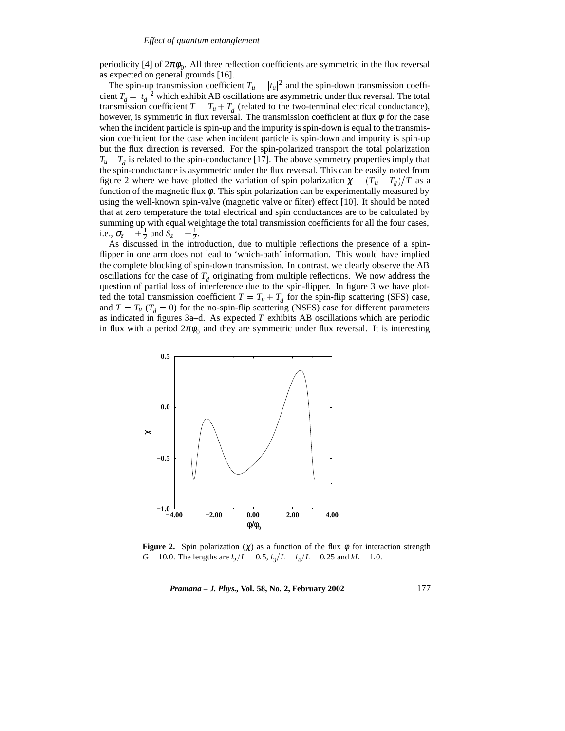periodicity [4] of  $2\pi\phi_0$ . All three reflection coefficients are symmetric in the flux reversal as expected on general grounds [16].

The spin-up transmission coefficient  $T_u = |t_u|^2$  and the spin-down transmission coefficient  $T_d = |t_d|^2$  which exhibit AB oscillations are asymmetric under flux reversal. The total transmission coefficient  $T = T_u + T_d$  (related to the two-terminal electrical conductance), however, is symmetric in flux reversal. The transmission coefficient at flux  $\phi$  for the case when the incident particle is spin-up and the impurity is spin-down is equal to the transmission coefficient for the case when incident particle is spin-down and impurity is spin-up but the flux direction is reversed. For the spin-polarized transport the total polarization  $T_u - T_d$  is related to the spin-conductance [17]. The above symmetry properties imply that the spin-conductance is asymmetric under the flux reversal. This can be easily noted from figure 2 where we have plotted the variation of spin polarization  $\chi = (T_u - T_d)/T$  as a function of the magnetic flux  $\phi$ . This spin polarization can be experimentally measured by using the well-known spin-valve (magnetic valve or filter) effect [10]. It should be noted that at zero temperature the total electrical and spin conductances are to be calculated by summing up with equal weightage the total transmission coefficients for all the four cases, i.e.,  $\sigma_z = \pm \frac{1}{2}$  and  $S_z = \pm \frac{1}{2}$ .

As discussed in the introduction, due to multiple reflections the presence of a spinflipper in one arm does not lead to 'which-path' information. This would have implied the complete blocking of spin-down transmission. In contrast, we clearly observe the AB oscillations for the case of  $T<sub>d</sub>$  originating from multiple reflections. We now address the question of partial loss of interference due to the spin-flipper. In figure 3 we have plotted the total transmission coefficient  $T = T_u + T_d$  for the spin-flip scattering (SFS) case, and  $T = T_u$  ( $T_d = 0$ ) for the no-spin-flip scattering (NSFS) case for different parameters as indicated in figures 3a–d. As expected *T* exhibits AB oscillations which are periodic in flux with a period  $2\pi\phi_0$  and they are symmetric under flux reversal. It is interesting



**Figure 2.** Spin polarization ( $\chi$ ) as a function of the flux  $\phi$  for interaction strength *G* = 10.0. The lengths are  $l_2/L = 0.5$ ,  $l_3/L = l_4/L = 0.25$  and  $kL = 1.0$ .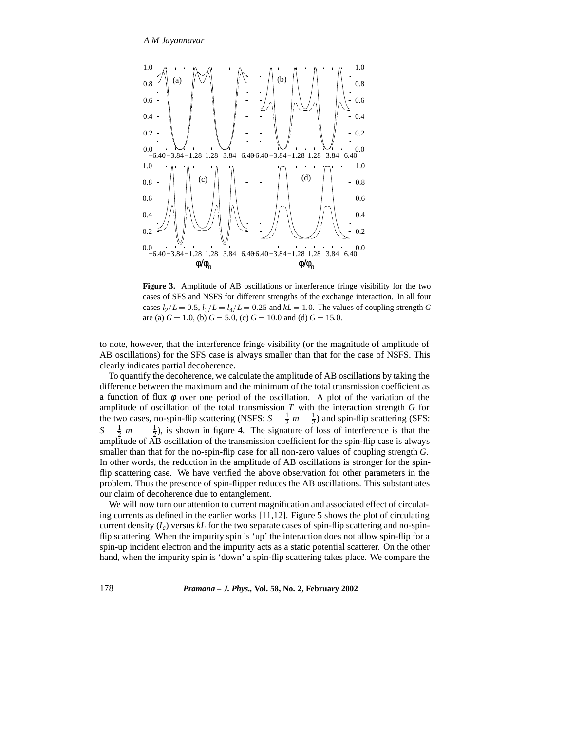

**Figure 3.** Amplitude of AB oscillations or interference fringe visibility for the two cases of SFS and NSFS for different strengths of the exchange interaction. In all four cases  $l_2/L = 0.5$ ,  $l_3/L = l_4/L = 0.25$  and  $kL = 1.0$ . The values of coupling strength *G* are (a)  $G = 1.0$ , (b)  $G = 5.0$ , (c)  $G = 10.0$  and (d)  $G = 15.0$ .

to note, however, that the interference fringe visibility (or the magnitude of amplitude of AB oscillations) for the SFS case is always smaller than that for the case of NSFS. This clearly indicates partial decoherence.

To quantify the decoherence, we calculate the amplitude of AB oscillations by taking the difference between the maximum and the minimum of the total transmission coefficient as a function of flux  $\phi$  over one period of the oscillation. A plot of the variation of the amplitude of oscillation of the total transmission *T* with the interaction strength *G* for the two cases, no-spin-flip scattering (NSFS:  $S = \frac{1}{2} m = \frac{1}{2}$ ) and spin-flip scattering (SFS:  $S = \frac{1}{2} m = -\frac{1}{2}$ , is shown in figure 4. The signature of loss of interference is that the amplitude of AB oscillation of the transmission coefficient for the spin-flip case is always smaller than that for the no-spin-flip case for all non-zero values of coupling strength *G*. In other words, the reduction in the amplitude of AB oscillations is stronger for the spinflip scattering case. We have verified the above observation for other parameters in the problem. Thus the presence of spin-flipper reduces the AB oscillations. This substantiates our claim of decoherence due to entanglement.

We will now turn our attention to current magnification and associated effect of circulating currents as defined in the earlier works [11,12]. Figure 5 shows the plot of circulating current density  $(I_c)$  versus kL for the two separate cases of spin-flip scattering and no-spinflip scattering. When the impurity spin is 'up' the interaction does not allow spin-flip for a spin-up incident electron and the impurity acts as a static potential scatterer. On the other hand, when the impurity spin is 'down' a spin-flip scattering takes place. We compare the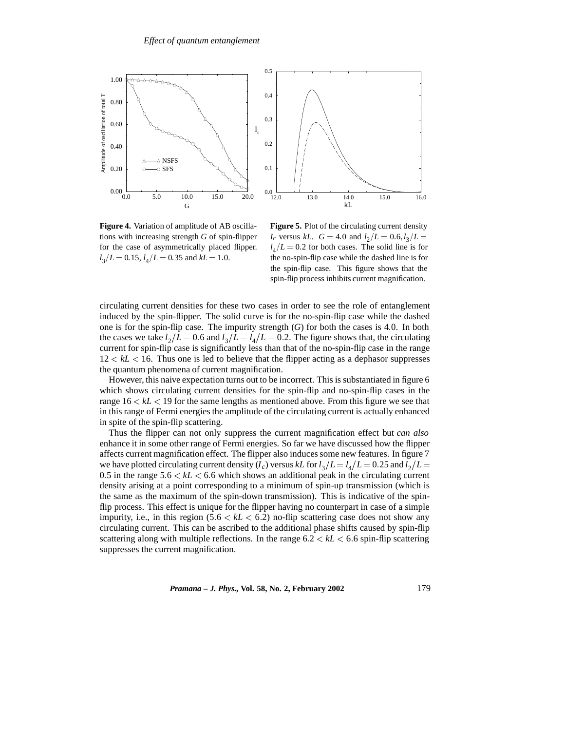



**Figure 4.** Variation of amplitude of AB oscillations with increasing strength *G* of spin-flipper for the case of asymmetrically placed flipper.  $l_3/L = 0.15$ ,  $l_4/L = 0.35$  and  $kL = 1.0$ .

**Figure 5.** Plot of the circulating current density *I<sub>c</sub>* versus *kL*.  $G = 4.0$  and  $l_2/L = 0.6, l_3/L =$  $l_4/L = 0.2$  for both cases. The solid line is for the no-spin-flip case while the dashed line is for the spin-flip case. This figure shows that the spin-flip process inhibits current magnification.

circulating current densities for these two cases in order to see the role of entanglement induced by the spin-flipper. The solid curve is for the no-spin-flip case while the dashed one is for the spin-flip case. The impurity strength (*G*) for both the cases is 4:0. In both the cases we take  $l_2/L = 0.6$  and  $l_3/L = l_4/L = 0.2$ . The figure shows that, the circulating current for spin-flip case is significantly less than that of the no-spin-flip case in the range  $12 < kL < 16$ . Thus one is led to believe that the flipper acting as a dephasor suppresses the quantum phenomena of current magnification.

However, this naive expectation turns out to be incorrect. This is substantiated in figure 6 which shows circulating current densities for the spin-flip and no-spin-flip cases in the range 16 <sup>&</sup>lt; *kL* <sup>&</sup>lt; 19 for the same lengths as mentioned above. From this figure we see that in this range of Fermi energies the amplitude of the circulating current is actually enhanced in spite of the spin-flip scattering.

Thus the flipper can not only suppress the current magnification effect but *can also* enhance it in some other range of Fermi energies. So far we have discussed how the flipper affects current magnification effect. The flipper also induces some new features. In figure 7 we have plotted circulating current density  $(I_c)$  versus  $kL$  for  $l_3/L = l_4/L = 0.25$  and  $l_2/L =$ 0.5 in the range  $5.6 < kL < 6.6$  which shows an additional peak in the circulating current density arising at a point corresponding to a minimum of spin-up transmission (which is the same as the maximum of the spin-down transmission). This is indicative of the spinflip process. This effect is unique for the flipper having no counterpart in case of a simple impurity, i.e., in this region  $(5.6 < kL < 6.2)$  no-flip scattering case does not show any circulating current. This can be ascribed to the additional phase shifts caused by spin-flip scattering along with multiple reflections. In the range  $6.2 < kL < 6.6$  spin-flip scattering suppresses the current magnification.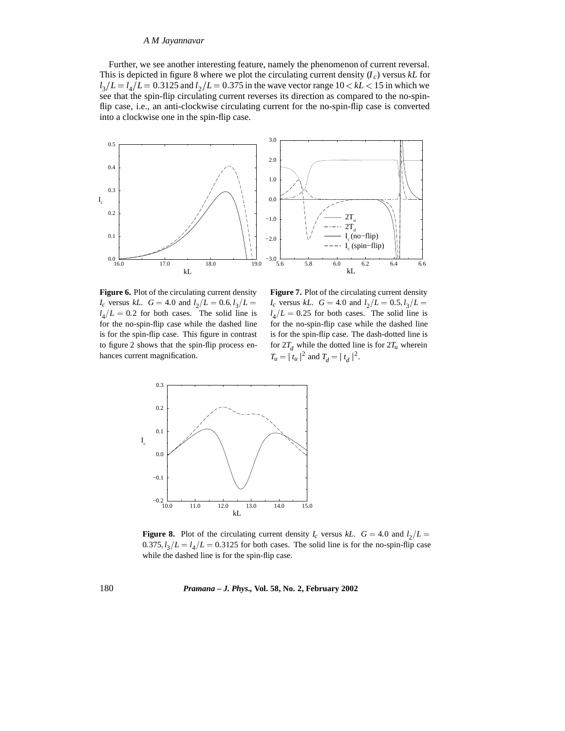## *A M Jayannavar*

Further, we see another interesting feature, namely the phenomenon of current reversal. This is depicted in figure 8 where we plot the circulating current density  $(I_c)$  versus  $kL$  for  $l_3/L = l_4/L = 0.3125$  and  $l_2/L = 0.375$  in the wave vector range  $10 < kL < 15$  in which we see that the spin-flip circulating current reverses its direction as compared to the no-spinflip case, i.e., an anti-clockwise circulating current for the no-spin-flip case is converted into a clockwise one in the spin-flip case.



**Figure 6.** Plot of the circulating current density *I<sub>c</sub>* versus *kL*.  $G = 4.0$  and  $l_2/L = 0.6, l_3/L =$  $l_4/L = 0.2$  for both cases. The solid line is for the no-spin-flip case while the dashed line is for the spin-flip case. This figure in contrast to figure 2 shows that the spin-flip process enhances current magnification.

 $I_c$  versus *kL*.  $G = 4.0$  and  $l_2/L = 0.5, l_3/L =$ **Figure 7.** Plot of the circulating current density  $l_4/L = 0.25$  for both cases. The solid line is for the no-spin-flip case while the dashed line is for the spin-flip case. The dash-dotted line is for  $2T_d$  while the dotted line is for  $2T_u$  wherein  $T_u = |t_u|^2$  and  $T_d = |t_d|^2$ .



**Figure 8.** Plot of the circulating current density  $I_c$  versus *kL*.  $G = 4.0$  and  $I_2/L =$  $0.375, l_3/L = l_4/L = 0.3125$  for both cases. The solid line is for the no-spin-flip case while the dashed line is for the spin-flip case.